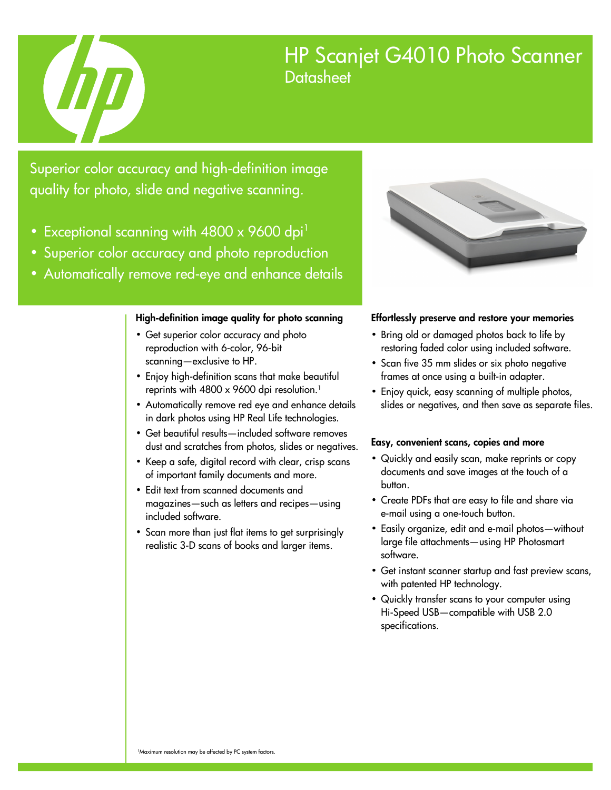

# HP Scanjet G4010 Photo Scanner **Datasheet**

Superior color accuracy and high-definition image quality for photo, slide and negative scanning.

- Exceptional scanning with  $4800 \times 9600$  dpi<sup>1</sup>
- Superior color accuracy and photo reproduction
- Automatically remove red-eye and enhance details

### High-definition image quality for photo scanning

- Get superior color accuracy and photo reproduction with 6-color, 96-bit scanning—exclusive to HP.
- Enjoy high-definition scans that make beautiful reprints with 4800 x 9600 dpi resolution.<sup>1</sup>
- Automatically remove red eye and enhance details in dark photos using HP Real Life technologies.
- Get beautiful results—included software removes dust and scratches from photos, slides or negatives.
- Keep a safe, digital record with clear, crisp scans of important family documents and more.
- Edit text from scanned documents and magazines—such as letters and recipes—using included software.
- Scan more than just flat items to get surprisingly realistic 3-D scans of books and larger items.



### Effortlessly preserve and restore your memories

- Bring old or damaged photos back to life by restoring faded color using included software.
- Scan five 35 mm slides or six photo negative frames at once using a built-in adapter.
- Enjoy quick, easy scanning of multiple photos, slides or negatives, and then save as separate files.

### Easy, convenient scans, copies and more

- Quickly and easily scan, make reprints or copy documents and save images at the touch of a button.
- Create PDFs that are easy to file and share via e-mail using a one-touch button.
- Easily organize, edit and e-mail photos—without large file attachments—using HP Photosmart software.
- Get instant scanner startup and fast preview scans, with patented HP technology.
- Quickly transfer scans to your computer using Hi-Speed USB—compatible with USB 2.0 specifications.